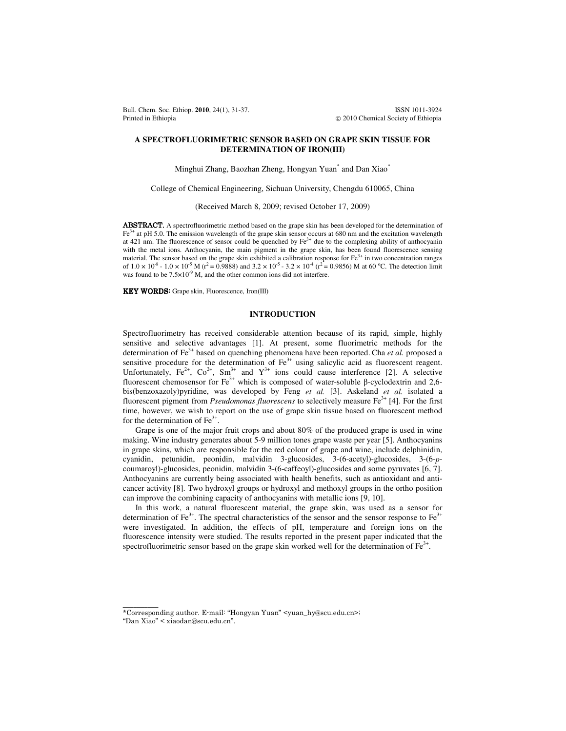Bull. Chem. Soc. Ethiop. **2010**, 24(1), 31-37. ISSN 1011-3924 Printed in Ethiopia **2010** Chemical Society of Ethiopia **2010** Chemical Society of Ethiopia

## **A SPECTROFLUORIMETRIC SENSOR BASED ON GRAPE SKIN TISSUE FOR DETERMINATION OF IRON(III)**

Minghui Zhang, Baozhan Zheng, Hongyan Yuan\* and Dan Xiao\*

College of Chemical Engineering, Sichuan University, Chengdu 610065, China

(Received March 8, 2009; revised October 17, 2009)

ABSTRACT. A spectrofluorimetric method based on the grape skin has been developed for the determination of Fe<sup>3+</sup> at pH 5.0. The emission wavelength of the grape skin sensor occurs at 680 nm and the excitation wavelength at 421 nm. The fluorescence of sensor could be quenched by  $Fe<sup>3+</sup>$  due to the complexing ability of anthocyanin with the metal ions. Anthocyanin, the main pigment in the grape skin, has been found fluorescence sensing material. The sensor based on the grape skin exhibited a calibration response for  $\text{Fe}^{3+}$  in two concentration ranges of  $1.0 \times 10^8$  -  $1.0 \times 10^{-5}$  M (r<sup>2</sup> = 0.9888) and  $3.2 \times 10^{-5}$  -  $3.2 \times 10^{-4}$  (r<sup>2</sup> = 0.9856) M at 60 °C. The detection limit was found to be  $7.5\times10^{-9}$  M, and the other common ions did not interfere.

KEY WORDS: Grape skin, Fluorescence, Iron(III)

## **INTRODUCTION**

Spectrofluorimetry has received considerable attention because of its rapid, simple, highly sensitive and selective advantages [1]. At present, some fluorimetric methods for the determination of Fe<sup>3+</sup> based on quenching phenomena have been reported. Cha *et al.* proposed a sensitive procedure for the determination of  $\text{Fe}^{3+}$  using salicylic acid as fluorescent reagent. Unfortunately,  $Fe^{2+}$ ,  $Co^{2+}$ ,  $Sm^{3+}$  and  $Y^{3+}$  ions could cause interference [2]. A selective fluorescent chemosensor for  $Fe<sup>3+</sup>$  which is composed of water-soluble β-cyclodextrin and 2,6bis(benzoxazoly)pyridine, was developed by Feng *et al.* [3]. Askeland *et al.* isolated a fluorescent pigment from *Pseudomonas fluorescens* to selectively measure Fe<sup>3+</sup> [4]. For the first time, however, we wish to report on the use of grape skin tissue based on fluorescent method for the determination of  $Fe<sup>3+</sup>$ .

 Grape is one of the major fruit crops and about 80% of the produced grape is used in wine making. Wine industry generates about 5-9 million tones grape waste per year [5]. Anthocyanins in grape skins, which are responsible for the red colour of grape and wine, include delphinidin, cyanidin, petunidin, peonidin, malvidin 3-glucosides, 3-(6-acetyl)-glucosides, 3-(6-*p*coumaroyl)-glucosides, peonidin, malvidin 3-(6-caffeoyl)-glucosides and some pyruvates [6, 7]. Anthocyanins are currently being associated with health benefits, such as antioxidant and anticancer activity [8]. Two hydroxyl groups or hydroxyl and methoxyl groups in the ortho position can improve the combining capacity of anthocyanins with metallic ions [9, 10].

 In this work, a natural fluorescent material, the grape skin, was used as a sensor for determination of Fe<sup>3+</sup>. The spectral characteristics of the sensor and the sensor response to Fe<sup>3+</sup> were investigated. In addition, the effects of pH, temperature and foreign ions on the fluorescence intensity were studied. The results reported in the present paper indicated that the spectrofluorimetric sensor based on the grape skin worked well for the determination of  $\text{Fe}^{3+}$ .

 $\overline{\phantom{a}}$ 

<sup>\*</sup>Corresponding author. E-mail: "Hongyan Yuan" <yuan\_hy@scu.edu.cn>;

<sup>&</sup>quot;Dan Xiao" < xiaodan@scu.edu.cn".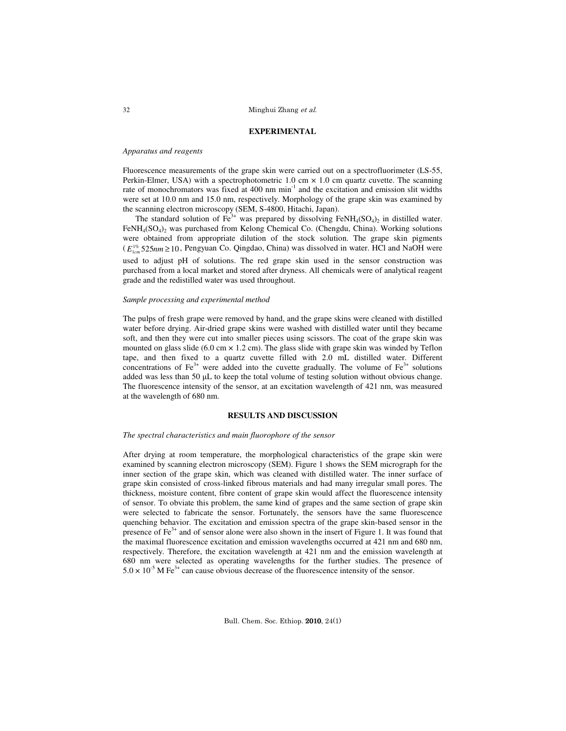## **EXPERIMENTAL**

## *Apparatus and reagents*

Fluorescence measurements of the grape skin were carried out on a spectrofluorimeter (LS-55, Perkin-Elmer, USA) with a spectrophotometric 1.0 cm  $\times$  1.0 cm quartz cuvette. The scanning rate of monochromators was fixed at 400 nm min<sup>-1</sup> and the excitation and emission slit widths were set at 10.0 nm and 15.0 nm, respectively. Morphology of the grape skin was examined by the scanning electron microscopy (SEM, S-4800, Hitachi, Japan).

The standard solution of  $\text{Fe}^{3+}$  was prepared by dissolving FeNH<sub>4</sub>(SO<sub>4</sub>)<sub>2</sub> in distilled water. FeNH<sub>4</sub>(SO<sub>4</sub>)<sub>2</sub> was purchased from Kelong Chemical Co. (Chengdu, China). Working solutions were obtained from appropriate dilution of the stock solution. The grape skin pigments  $(E_{1cm}^{1\%}525nm \ge 10$ , Pengyuan Co. Qingdao, China) was dissolved in water. HCl and NaOH were used to adjust pH of solutions. The red grape skin used in the sensor construction was purchased from a local market and stored after dryness. All chemicals were of analytical reagent grade and the redistilled water was used throughout.

## *Sample processing and experimental method*

The pulps of fresh grape were removed by hand, and the grape skins were cleaned with distilled water before drying. Air-dried grape skins were washed with distilled water until they became soft, and then they were cut into smaller pieces using scissors. The coat of the grape skin was mounted on glass slide (6.0 cm  $\times$  1.2 cm). The glass slide with grape skin was winded by Teflon tape, and then fixed to a quartz cuvette filled with 2.0 mL distilled water. Different concentrations of Fe<sup>3+</sup> were added into the cuvette gradually. The volume of Fe<sup>3+</sup> solutions added was less than 50 µL to keep the total volume of testing solution without obvious change. The fluorescence intensity of the sensor, at an excitation wavelength of 421 nm, was measured at the wavelength of 680 nm.

## **RESULTS AND DISCUSSION**

## *The spectral characteristics and main fluorophore of the sensor*

After drying at room temperature, the morphological characteristics of the grape skin were examined by scanning electron microscopy (SEM). Figure 1 shows the SEM micrograph for the inner section of the grape skin, which was cleaned with distilled water. The inner surface of grape skin consisted of cross-linked fibrous materials and had many irregular small pores. The thickness, moisture content, fibre content of grape skin would affect the fluorescence intensity of sensor. To obviate this problem, the same kind of grapes and the same section of grape skin were selected to fabricate the sensor. Fortunately, the sensors have the same fluorescence quenching behavior. The excitation and emission spectra of the grape skin-based sensor in the presence of Fe<sup>3+</sup> and of sensor alone were also shown in the insert of Figure 1. It was found that the maximal fluorescence excitation and emission wavelengths occurred at 421 nm and 680 nm, respectively. Therefore, the excitation wavelength at 421 nm and the emission wavelength at 680 nm were selected as operating wavelengths for the further studies. The presence of  $5.0 \times 10^{-5}$  M Fe<sup>3+</sup> can cause obvious decrease of the fluorescence intensity of the sensor.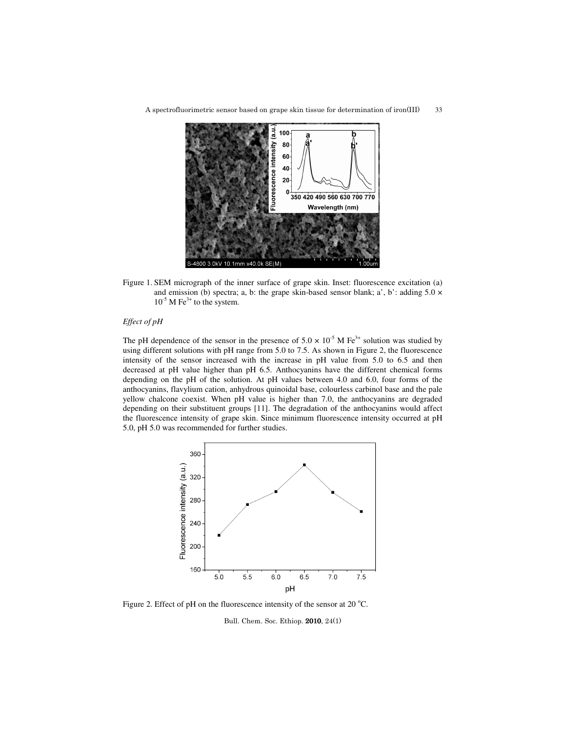A spectrofluorimetric sensor based on grape skin tissue for determination of iron(III) 33



Figure 1. SEM micrograph of the inner surface of grape skin. Inset: fluorescence excitation (a) and emission (b) spectra; a, b: the grape skin-based sensor blank; a', b': adding  $5.0 \times$  $10^{-5}$  M Fe<sup>3+</sup> to the system.

# *Effect of pH*

The pH dependence of the sensor in the presence of  $5.0 \times 10^{-5}$  M Fe<sup>3+</sup> solution was studied by using different solutions with pH range from 5.0 to 7.5. As shown in Figure 2, the fluorescence intensity of the sensor increased with the increase in pH value from 5.0 to 6.5 and then decreased at pH value higher than pH 6.5. Anthocyanins have the different chemical forms depending on the pH of the solution. At pH values between 4.0 and 6.0, four forms of the anthocyanins, flavylium cation, anhydrous quinoidal base, colourless carbinol base and the pale yellow chalcone coexist. When pH value is higher than 7.0, the anthocyanins are degraded depending on their substituent groups [11]. The degradation of the anthocyanins would affect the fluorescence intensity of grape skin. Since minimum fluorescence intensity occurred at pH 5.0, pH 5.0 was recommended for further studies.



Figure 2. Effect of pH on the fluorescence intensity of the sensor at 20  $^{\circ}$ C.

Bull. Chem. Soc. Ethiop. 2010, 24(1)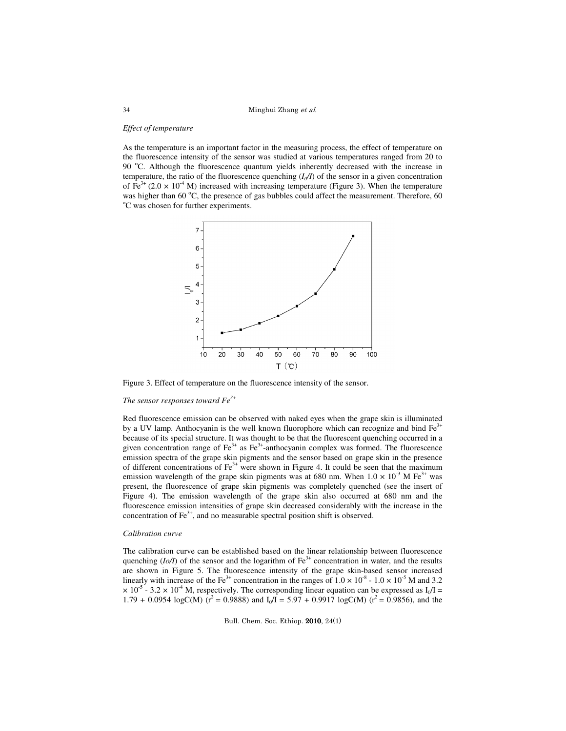Minghui Zhang et al.

#### *Effect of temperature*

As the temperature is an important factor in the measuring process, the effect of temperature on the fluorescence intensity of the sensor was studied at various temperatures ranged from 20 to 90 °C. Although the fluorescence quantum yields inherently decreased with the increase in temperature, the ratio of the fluorescence quenching  $(I_0/I)$  of the sensor in a given concentration of Fe<sup>3+</sup> (2.0  $\times$  10<sup>-4</sup> M) increased with increasing temperature (Figure 3). When the temperature was higher than 60  $^{\circ}$ C, the presence of gas bubbles could affect the measurement. Therefore, 60  $\rm{^{\circ}C}$  was chosen for further experiments.



Figure 3. Effect of temperature on the fluorescence intensity of the sensor.

# *The sensor responses toward Fe3+*

Red fluorescence emission can be observed with naked eyes when the grape skin is illuminated by a UV lamp. Anthocyanin is the well known fluorophore which can recognize and bind  $Fe<sup>3+</sup>$ because of its special structure. It was thought to be that the fluorescent quenching occurred in a given concentration range of  $Fe<sup>3+</sup>$  as  $Fe<sup>3+</sup>$ -anthocyanin complex was formed. The fluorescence emission spectra of the grape skin pigments and the sensor based on grape skin in the presence of different concentrations of  $Fe<sup>3+</sup>$  were shown in Figure 4. It could be seen that the maximum emission wavelength of the grape skin pigments was at 680 nm. When  $1.0 \times 10^{-3}$  M Fe<sup>3+</sup> was present, the fluorescence of grape skin pigments was completely quenched (see the insert of Figure 4). The emission wavelength of the grape skin also occurred at 680 nm and the fluorescence emission intensities of grape skin decreased considerably with the increase in the concentration of  $\text{Fe}^{3+}$ , and no measurable spectral position shift is observed.

## *Calibration curve*

The calibration curve can be established based on the linear relationship between fluorescence quenching  $(I_0/I)$  of the sensor and the logarithm of  $Fe^{3+}$  concentration in water, and the results are shown in Figure 5. The fluorescence intensity of the grape skin-based sensor increased linearly with increase of the Fe<sup>3+</sup> concentration in the ranges of  $1.0 \times 10^{-8}$  -  $1.0 \times 10^{-5}$  M and 3.2  $\times$  10<sup>-5</sup> - 3.2  $\times$  10<sup>-4</sup> M, respectively. The corresponding linear equation can be expressed as I<sub>0</sub>/I =  $1.79 + 0.0954 \log C(M)$  ( $r^2 = 0.9888$ ) and  $I_0/I = 5.97 + 0.9917 \log C(M)$  ( $r^2 = 0.9856$ ), and the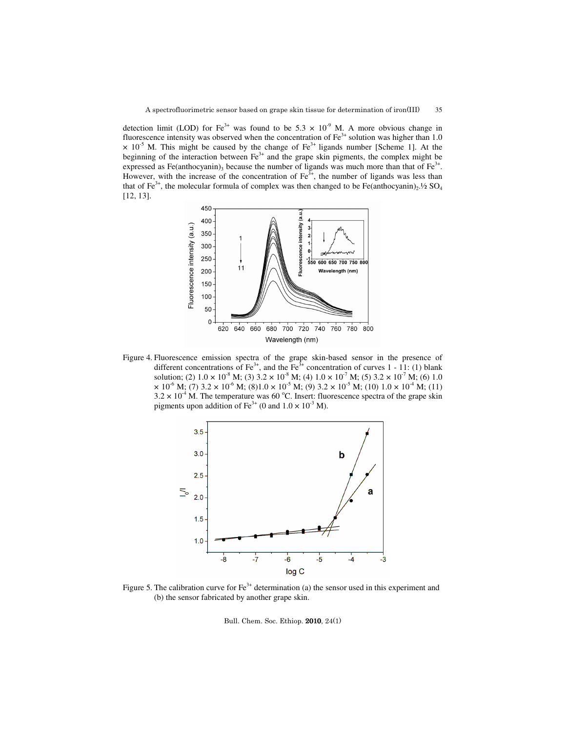detection limit (LOD) for Fe<sup>3+</sup> was found to be 5.3  $\times$  10<sup>-9</sup> M. A more obvious change in fluorescence intensity was observed when the concentration of  $Fe<sup>3+</sup>$  solution was higher than 1.0  $\times$  10<sup>-5</sup> M. This might be caused by the change of Fe<sup>3+</sup> ligands number [Scheme 1]. At the beginning of the interaction between  $Fe<sup>3+</sup>$  and the grape skin pigments, the complex might be expressed as Fe(anthocyanin)<sub>3</sub> because the number of ligands was much more than that of Fe<sup>3+</sup>. However, with the increase of the concentration of  $\text{Fe}^{3+}$ , the number of ligands was less than that of Fe<sup>3+</sup>, the molecular formula of complex was then changed to be Fe(anthocyanin)<sub>2</sub>.<sup>1</sup>/<sub>2</sub> SO<sub>4</sub> [12, 13].



Figure 4. Fluorescence emission spectra of the grape skin-based sensor in the presence of different concentrations of Fe<sup>3+</sup>, and the Fe<sup>3+</sup> concentration of curves 1 - 11: (1) blank solution; (2)  $1.0 \times 10^{-8}$  M; (3)  $3.2 \times 10^{-8}$  M; (4)  $1.0 \times 10^{-7}$  M; (5)  $3.2 \times 10^{-7}$  M; (6)  $1.0$  $\times$  10<sup>-6</sup> M; (7) 3.2  $\times$  10<sup>-6</sup> M; (8)1.0  $\times$  10<sup>-5</sup> M; (9) 3.2  $\times$  10<sup>-5</sup> M; (10) 1.0  $\times$  10<sup>-4</sup> M; (11)  $3.2 \times 10^{-4}$  M. The temperature was 60 °C. Insert: fluorescence spectra of the grape skin pigments upon addition of Fe<sup>3+</sup> (0 and  $1.0 \times 10^{-3}$  M).



Figure 5. The calibration curve for  $\text{Fe}^{3+}$  determination (a) the sensor used in this experiment and (b) the sensor fabricated by another grape skin.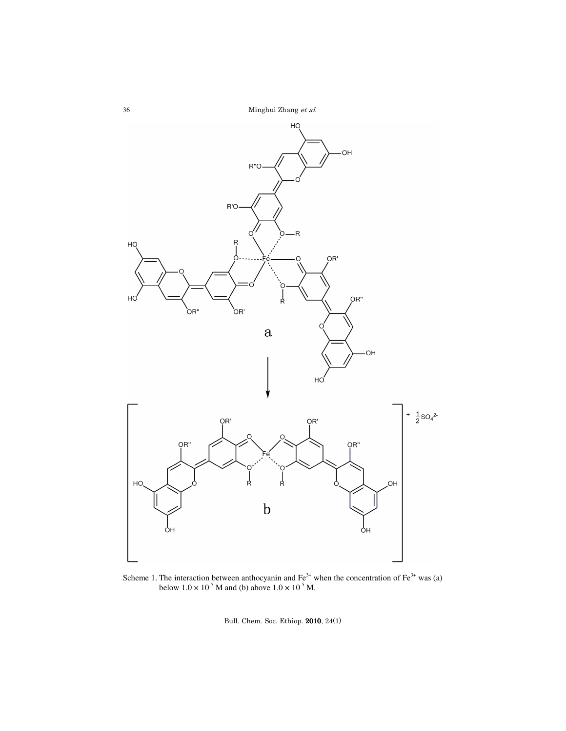Minghui Zhang et al.



Scheme 1. The interaction between anthocyanin and  $\text{Fe}^{3+}$  when the concentration of  $\text{Fe}^{3+}$  was (a) below  $1.0 \times 10^{-5}$  M and (b) above  $1.0 \times 10^{-5}$  M.